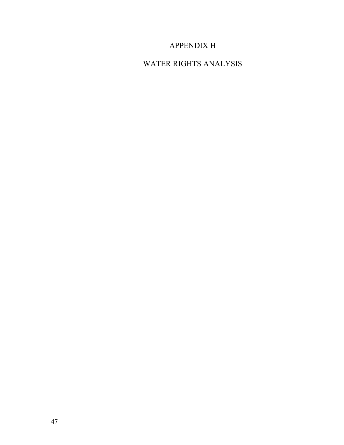## APPENDIX H

## WATER RIGHTS ANALYSIS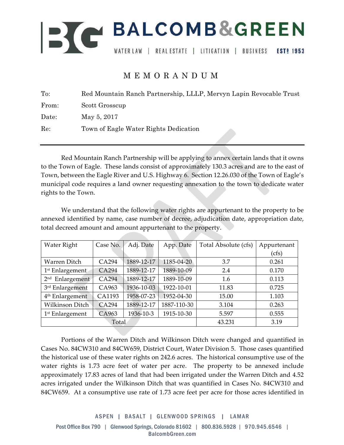

## MEMORANDUM

| To:   | Red Mountain Ranch Partnership, LLLP, Mervyn Lapin Revocable Trust |
|-------|--------------------------------------------------------------------|
| From: | Scott Grosscup                                                     |
| Date: | May 5, 2017                                                        |
| Re:   | Town of Eagle Water Rights Dedication                              |

Red Mountain Ranch Partnership will be applying to annex certain lands that it owns to the Town of Eagle. These lands consist of approximately 130.3 acres and are to the east of Town, between the Eagle River and U.S. Highway 6. Section 12.26.030 of the Town of Eagle's municipal code requires a land owner requesting annexation to the town to dedicate water rights to the Town.

We understand that the following water rights are appurtenant to the property to be annexed identified by name, case number of decree, adjudication date, appropriation date, total decreed amount and amount appurtenant to the property.

| Water Right                 | Case No. | Adj. Date  | App. Date   | Total Absolute (cfs) | Appurtenant |
|-----------------------------|----------|------------|-------------|----------------------|-------------|
|                             |          |            |             |                      | (cfs)       |
| Warren Ditch                | CA294    | 1889-12-17 | 1185-04-20  | 3.7                  | 0.261       |
| 1 <sup>st</sup> Enlargement | CA294    | 1889-12-17 | 1889-10-09  | 2.4                  | 0.170       |
| 2 <sup>nd</sup> Enlargement | CA294    | 1889-12-17 | 1889-10-09  | 1.6                  | 0.113       |
| 3rd Enlargement             | CA963    | 1936-10-03 | 1922-10-01  | 11.83                | 0.725       |
| 4 <sup>th</sup> Enlargement | CA1193   | 1958-07-23 | 1952-04-30  | 15.00                | 1.103       |
| <b>Wilkinson Ditch</b>      | CA294    | 1889-12-17 | 1887-110-30 | 3.104                | 0.263       |
| 1 <sup>st</sup> Enlargement | CA963    | 1936-10-3  | 1915-10-30  | 5.597                | 0.555       |
| Total                       |          |            |             | 43.231               | 3.19        |

Portions of the Warren Ditch and Wilkinson Ditch were changed and quantified in Cases No. 84CW310 and 84CW659, District Court, Water Division 5. Those cases quantified the historical use of these water rights on 242.6 acres. The historical consumptive use of the water rights is 1.73 acre feet of water per acre. The property to be annexed include approximately 17.83 acres of land that had been irrigated under the Warren Ditch and 4.52 acres irrigated under the Wilkinson Ditch that was quantified in Cases No. 84CW310 and 84CW659. At a consumptive use rate of 1.73 acre feet per acre for those acres identified in